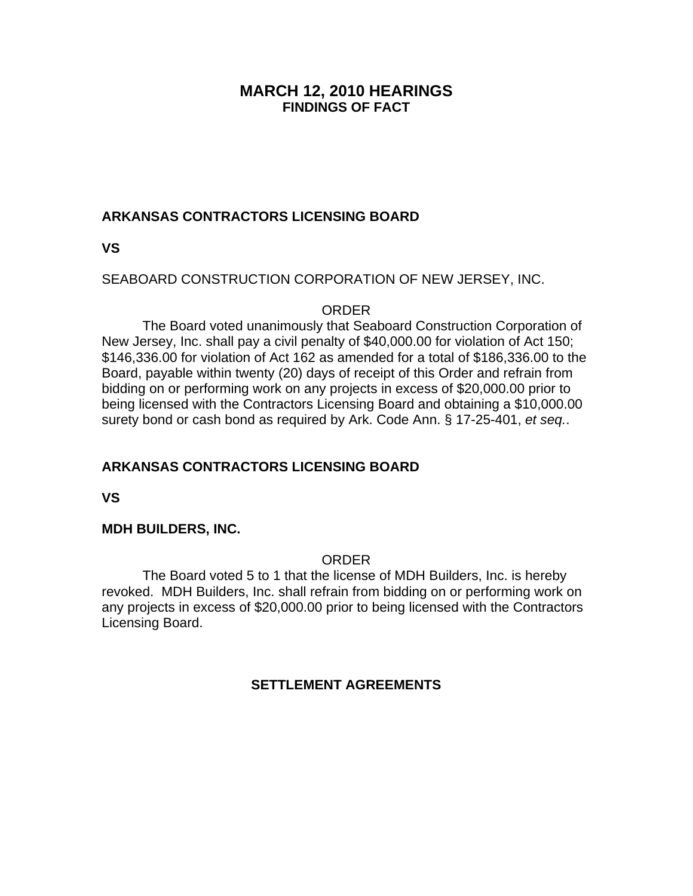### **MARCH 12, 2010 HEARINGS FINDINGS OF FACT**

# **ARKANSAS CONTRACTORS LICENSING BOARD**

**VS** 

### SEABOARD CONSTRUCTION CORPORATION OF NEW JERSEY, INC.

#### ORDER

 The Board voted unanimously that Seaboard Construction Corporation of New Jersey, Inc. shall pay a civil penalty of \$40,000.00 for violation of Act 150; \$146,336.00 for violation of Act 162 as amended for a total of \$186,336.00 to the Board, payable within twenty (20) days of receipt of this Order and refrain from bidding on or performing work on any projects in excess of \$20,000.00 prior to being licensed with the Contractors Licensing Board and obtaining a \$10,000.00 surety bond or cash bond as required by Ark. Code Ann. § 17-25-401, *et seq.*.

# **ARKANSAS CONTRACTORS LICENSING BOARD**

**VS** 

### **MDH BUILDERS, INC.**

### ORDER

 The Board voted 5 to 1 that the license of MDH Builders, Inc. is hereby revoked. MDH Builders, Inc. shall refrain from bidding on or performing work on any projects in excess of \$20,000.00 prior to being licensed with the Contractors Licensing Board.

### **SETTLEMENT AGREEMENTS**